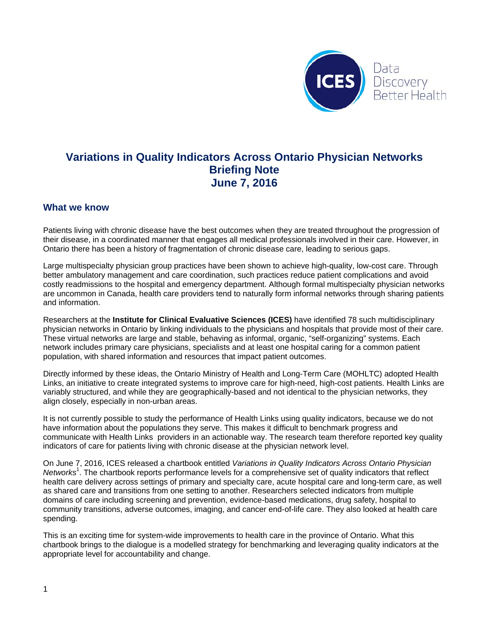

### **Variations in Quality Indicators Across Ontario Physician Networks Briefing Note June 7, 2016**

#### **What we know**

Patients living with chronic disease have the best outcomes when they are treated throughout the progression of their disease, in a coordinated manner that engages all medical professionals involved in their care. However, in Ontario there has been a history of fragmentation of chronic disease care, leading to serious gaps.

Large multispecialty physician group practices have been shown to achieve high-quality, low-cost care. Through better ambulatory management and care coordination, such practices reduce patient complications and avoid costly readmissions to the hospital and emergency department. Although formal multispecialty physician networks are uncommon in Canada, health care providers tend to naturally form informal networks through sharing patients and information.

Researchers at the **Institute for Clinical Evaluative Sciences (ICES)** have identified 78 such multidisciplinary physician networks in Ontario by linking individuals to the physicians and hospitals that provide most of their care. These virtual networks are large and stable, behaving as informal, organic, "self-organizing" systems. Each network includes primary care physicians, specialists and at least one hospital caring for a common patient population, with shared information and resources that impact patient outcomes.

Directly informed by these ideas, the Ontario Ministry of Health and Long-Term Care (MOHLTC) adopted Health Links, an initiative to create integrated systems to improve care for high-need, high-cost patients. Health Links are variably structured, and while they are geographically-based and not identical to the physician networks, they align closely, especially in non-urban areas.

It is not currently possible to study the performance of Health Links using quality indicators, because we do not have information about the populations they serve. This makes it difficult to benchmark progress and communicate with Health Links providers in an actionable way. The research team therefore reported key quality indicators of care for patients living with chronic disease at the physician network level.

On June 7, 2016, ICES released a chartbook entitled *Variations in Quality Indicators Across Ontario Physician*  Networks<sup>1</sup>. The chartbook reports performance levels for a comprehensive set of quality indicators that reflect health care delivery across settings of primary and specialty care, acute hospital care and long-term care, as well as shared care and transitions from one setting to another. Researchers selected indicators from multiple domains of care including screening and prevention, evidence-based medications, drug safety, hospital to community transitions, adverse outcomes, imaging, and cancer end-of-life care. They also looked at health care spending.

This is an exciting time for system-wide improvements to health care in the province of Ontario. What this chartbook brings to the dialogue is a modelled strategy for benchmarking and leveraging quality indicators at the appropriate level for accountability and change.